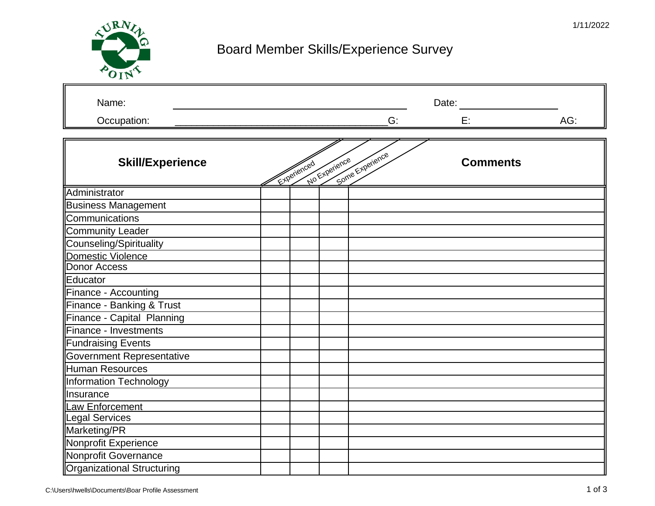

## Board Member Skills/Experience Survey

| Name:                            |             |               |                 | Date:           |     |
|----------------------------------|-------------|---------------|-----------------|-----------------|-----|
| Occupation:                      |             |               | G:              | Е.              | AG: |
|                                  |             |               |                 |                 |     |
| <b>Skill/Experience</b>          | Experienced | No Experience | Some Experience | <b>Comments</b> |     |
| Administrator                    |             |               |                 |                 |     |
| <b>Business Management</b>       |             |               |                 |                 |     |
| Communications                   |             |               |                 |                 |     |
| <b>Community Leader</b>          |             |               |                 |                 |     |
| Counseling/Spirituality          |             |               |                 |                 |     |
| Domestic Violence                |             |               |                 |                 |     |
| <b>Donor Access</b>              |             |               |                 |                 |     |
| Educator                         |             |               |                 |                 |     |
| Finance - Accounting             |             |               |                 |                 |     |
| Finance - Banking & Trust        |             |               |                 |                 |     |
| Finance - Capital Planning       |             |               |                 |                 |     |
| Finance - Investments            |             |               |                 |                 |     |
| <b>Fundraising Events</b>        |             |               |                 |                 |     |
| <b>Government Representative</b> |             |               |                 |                 |     |
| <b>Human Resources</b>           |             |               |                 |                 |     |
| Information Technology           |             |               |                 |                 |     |
| Insurance                        |             |               |                 |                 |     |
| Law Enforcement                  |             |               |                 |                 |     |
| <b>Legal Services</b>            |             |               |                 |                 |     |
| Marketing/PR                     |             |               |                 |                 |     |
| Nonprofit Experience             |             |               |                 |                 |     |
| Nonprofit Governance             |             |               |                 |                 |     |
| Organizational Structuring       |             |               |                 |                 |     |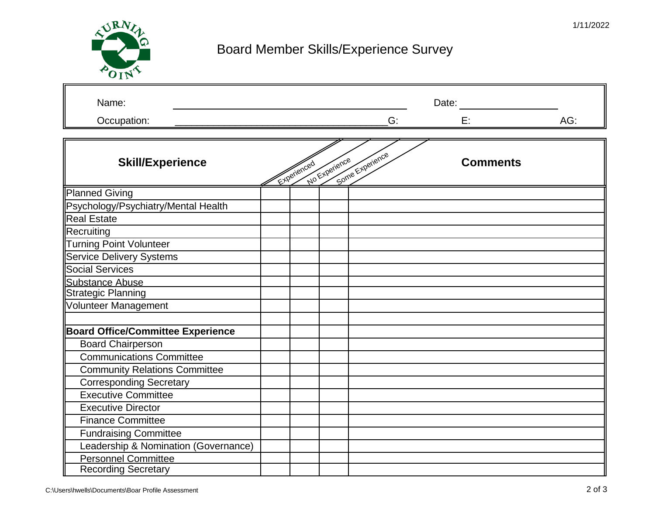

## Board Member Skills/Experience Survey

| Name:                                    |             |               |                 | Date:           |     |  |
|------------------------------------------|-------------|---------------|-----------------|-----------------|-----|--|
| Occupation:                              |             |               | G:              | E:              | AG: |  |
|                                          |             |               |                 |                 |     |  |
| <b>Skill/Experience</b>                  | Experienced | No Experience | Some Experience | <b>Comments</b> |     |  |
| <b>Planned Giving</b>                    |             |               |                 |                 |     |  |
| Psychology/Psychiatry/Mental Health      |             |               |                 |                 |     |  |
| <b>Real Estate</b>                       |             |               |                 |                 |     |  |
| Recruiting                               |             |               |                 |                 |     |  |
| <b>Turning Point Volunteer</b>           |             |               |                 |                 |     |  |
| <b>Service Delivery Systems</b>          |             |               |                 |                 |     |  |
| <b>Social Services</b>                   |             |               |                 |                 |     |  |
| <b>Substance Abuse</b>                   |             |               |                 |                 |     |  |
| <b>Strategic Planning</b>                |             |               |                 |                 |     |  |
| Volunteer Management                     |             |               |                 |                 |     |  |
|                                          |             |               |                 |                 |     |  |
| <b>Board Office/Committee Experience</b> |             |               |                 |                 |     |  |
| <b>Board Chairperson</b>                 |             |               |                 |                 |     |  |
| <b>Communications Committee</b>          |             |               |                 |                 |     |  |
| <b>Community Relations Committee</b>     |             |               |                 |                 |     |  |
| <b>Corresponding Secretary</b>           |             |               |                 |                 |     |  |
| <b>Executive Committee</b>               |             |               |                 |                 |     |  |
| <b>Executive Director</b>                |             |               |                 |                 |     |  |
| <b>Finance Committee</b>                 |             |               |                 |                 |     |  |
| <b>Fundraising Committee</b>             |             |               |                 |                 |     |  |
| Leadership & Nomination (Governance)     |             |               |                 |                 |     |  |
| <b>Personnel Committee</b>               |             |               |                 |                 |     |  |
| <b>Recording Secretary</b>               |             |               |                 |                 |     |  |